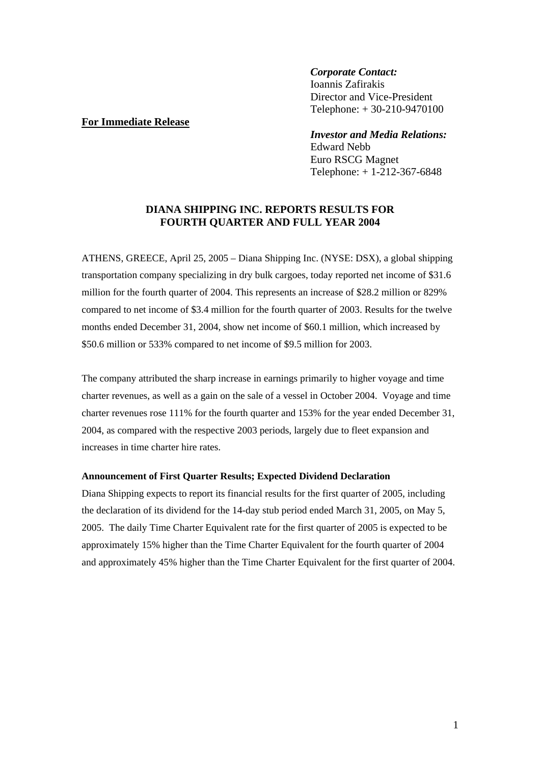# *Corporate Contact:*

 Ioannis Zafirakis Director and Vice-President Telephone: + 30-210-9470100

# **For Immediate Release**

## *Investor and Media Relations:*

 Edward Nebb Euro RSCG Magnet Telephone: + 1-212-367-6848

# **DIANA SHIPPING INC. REPORTS RESULTS FOR FOURTH QUARTER AND FULL YEAR 2004**

ATHENS, GREECE, April 25, 2005 – Diana Shipping Inc. (NYSE: DSX), a global shipping transportation company specializing in dry bulk cargoes, today reported net income of \$31.6 million for the fourth quarter of 2004. This represents an increase of \$28.2 million or 829% compared to net income of \$3.4 million for the fourth quarter of 2003. Results for the twelve months ended December 31, 2004, show net income of \$60.1 million, which increased by \$50.6 million or 533% compared to net income of \$9.5 million for 2003.

The company attributed the sharp increase in earnings primarily to higher voyage and time charter revenues, as well as a gain on the sale of a vessel in October 2004. Voyage and time charter revenues rose 111% for the fourth quarter and 153% for the year ended December 31, 2004, as compared with the respective 2003 periods, largely due to fleet expansion and increases in time charter hire rates.

#### **Announcement of First Quarter Results; Expected Dividend Declaration**

Diana Shipping expects to report its financial results for the first quarter of 2005, including the declaration of its dividend for the 14-day stub period ended March 31, 2005, on May 5, 2005. The daily Time Charter Equivalent rate for the first quarter of 2005 is expected to be approximately 15% higher than the Time Charter Equivalent for the fourth quarter of 2004 and approximately 45% higher than the Time Charter Equivalent for the first quarter of 2004.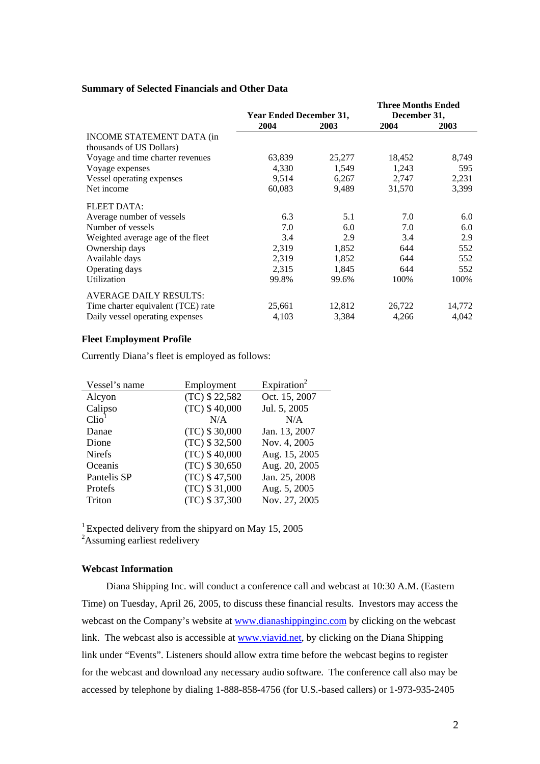### **Summary of Selected Financials and Other Data**

|                                    |                                |        | <b>Three Months Ended</b> |        |  |
|------------------------------------|--------------------------------|--------|---------------------------|--------|--|
|                                    | <b>Year Ended December 31,</b> |        | December 31,              |        |  |
|                                    | 2004                           | 2003   | 2004                      | 2003   |  |
| <b>INCOME STATEMENT DATA (in</b>   |                                |        |                           |        |  |
| thousands of US Dollars)           |                                |        |                           |        |  |
| Voyage and time charter revenues   | 63,839                         | 25,277 | 18,452                    | 8,749  |  |
| Voyage expenses                    | 4,330                          | 1,549  | 1,243                     | 595    |  |
| Vessel operating expenses          | 9,514                          | 6,267  | 2,747                     | 2,231  |  |
| Net income                         | 60,083                         | 9,489  | 31,570                    | 3,399  |  |
| <b>FLEET DATA:</b>                 |                                |        |                           |        |  |
| Average number of vessels          | 6.3                            | 5.1    | 7.0                       | 6.0    |  |
| Number of vessels                  | 7.0                            | 6.0    | 7.0                       | 6.0    |  |
| Weighted average age of the fleet  | 3.4                            | 2.9    | 3.4                       | 2.9    |  |
| Ownership days                     | 2,319                          | 1,852  | 644                       | 552    |  |
| Available days                     | 2,319                          | 1,852  | 644                       | 552    |  |
| Operating days                     | 2,315                          | 1,845  | 644                       | 552    |  |
| Utilization                        | 99.8%                          | 99.6%  | 100%                      | 100%   |  |
| <b>AVERAGE DAILY RESULTS:</b>      |                                |        |                           |        |  |
| Time charter equivalent (TCE) rate | 25,661                         | 12,812 | 26,722                    | 14,772 |  |
| Daily vessel operating expenses    | 4,103                          | 3,384  | 4,266                     | 4,042  |  |

#### **Fleet Employment Profile**

Currently Diana's fleet is employed as follows:

| Vessel's name     | Employment      | Expiration <sup>2</sup> |  |  |
|-------------------|-----------------|-------------------------|--|--|
| Alcyon            | (TC) \$22,582   | Oct. 15, 2007           |  |  |
| Calipso           | $(TC)$ \$40,000 | Jul. 5, 2005            |  |  |
| Clio <sup>1</sup> | N/A             | N/A                     |  |  |
| Danae             | (TC) \$30,000   | Jan. 13, 2007           |  |  |
| Dione             | (TC) \$32,500   | Nov. 4, 2005            |  |  |
| <b>Nirefs</b>     | $(TC)$ \$40,000 | Aug. 15, 2005           |  |  |
| Oceanis           | (TC) \$30,650   | Aug. 20, 2005           |  |  |
| Pantelis SP       | (TC) \$47,500   | Jan. 25, 2008           |  |  |
| Protefs           | (TC) \$31,000   | Aug. 5, 2005            |  |  |
| Triton            | (TC) \$37,300   | Nov. 27, 2005           |  |  |

<sup>1</sup> Expected delivery from the shipyard on May 15, 2005

<sup>2</sup>Assuming earliest redelivery

## **Webcast Information**

 Diana Shipping Inc. will conduct a conference call and webcast at 10:30 A.M. (Eastern Time) on Tuesday, April 26, 2005, to discuss these financial results. Investors may access the webcast on the Company's website at www.dianashippinginc.com by clicking on the webcast link. The webcast also is accessible at www.viavid.net, by clicking on the Diana Shipping link under "Events". Listeners should allow extra time before the webcast begins to register for the webcast and download any necessary audio software. The conference call also may be accessed by telephone by dialing 1-888-858-4756 (for U.S.-based callers) or 1-973-935-2405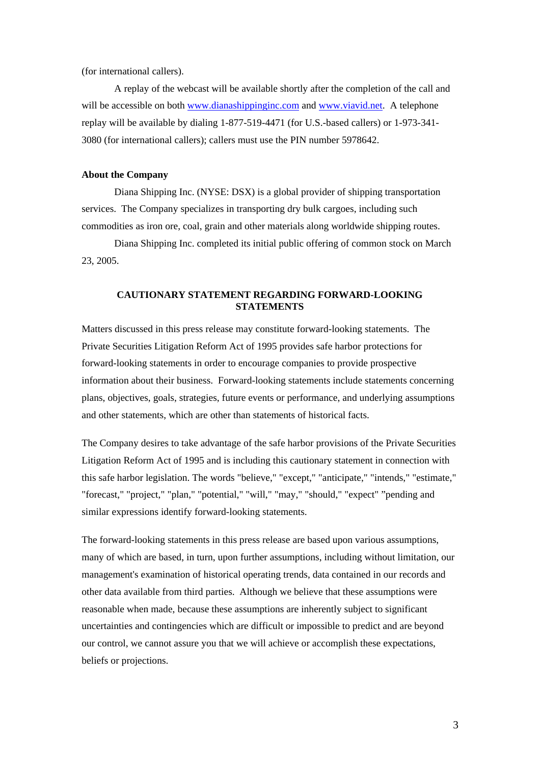(for international callers).

 A replay of the webcast will be available shortly after the completion of the call and will be accessible on both www.dianashippinginc.com and www.viavid.net. A telephone replay will be available by dialing 1-877-519-4471 (for U.S.-based callers) or 1-973-341- 3080 (for international callers); callers must use the PIN number 5978642.

## **About the Company**

 Diana Shipping Inc. (NYSE: DSX) is a global provider of shipping transportation services. The Company specializes in transporting dry bulk cargoes, including such commodities as iron ore, coal, grain and other materials along worldwide shipping routes.

Diana Shipping Inc. completed its initial public offering of common stock on March 23, 2005.

### **CAUTIONARY STATEMENT REGARDING FORWARD-LOOKING STATEMENTS**

Matters discussed in this press release may constitute forward-looking statements. The Private Securities Litigation Reform Act of 1995 provides safe harbor protections for forward-looking statements in order to encourage companies to provide prospective information about their business. Forward-looking statements include statements concerning plans, objectives, goals, strategies, future events or performance, and underlying assumptions and other statements, which are other than statements of historical facts.

The Company desires to take advantage of the safe harbor provisions of the Private Securities Litigation Reform Act of 1995 and is including this cautionary statement in connection with this safe harbor legislation. The words "believe," "except," "anticipate," "intends," "estimate," "forecast," "project," "plan," "potential," "will," "may," "should," "expect" "pending and similar expressions identify forward-looking statements.

The forward-looking statements in this press release are based upon various assumptions, many of which are based, in turn, upon further assumptions, including without limitation, our management's examination of historical operating trends, data contained in our records and other data available from third parties. Although we believe that these assumptions were reasonable when made, because these assumptions are inherently subject to significant uncertainties and contingencies which are difficult or impossible to predict and are beyond our control, we cannot assure you that we will achieve or accomplish these expectations, beliefs or projections.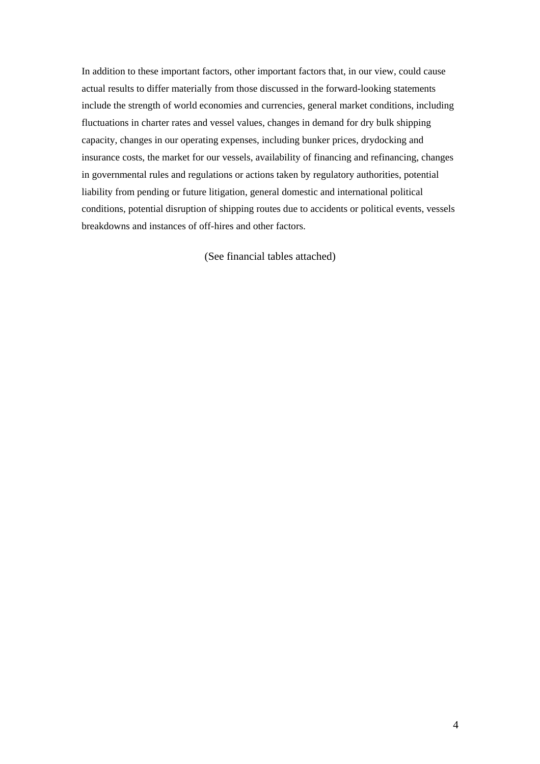In addition to these important factors, other important factors that, in our view, could cause actual results to differ materially from those discussed in the forward-looking statements include the strength of world economies and currencies, general market conditions, including fluctuations in charter rates and vessel values, changes in demand for dry bulk shipping capacity, changes in our operating expenses, including bunker prices, drydocking and insurance costs, the market for our vessels, availability of financing and refinancing, changes in governmental rules and regulations or actions taken by regulatory authorities, potential liability from pending or future litigation, general domestic and international political conditions, potential disruption of shipping routes due to accidents or political events, vessels breakdowns and instances of off-hires and other factors.

(See financial tables attached)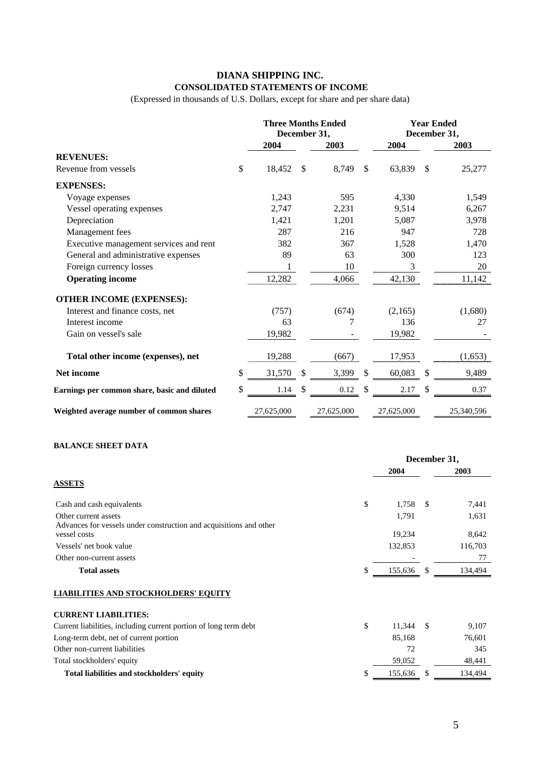# **DIANA SHIPPING INC. CONSOLIDATED STATEMENTS OF INCOME**

(Expressed in thousands of U.S. Dollars, except for share and per share data)

|                                              | <b>Three Months Ended</b><br>December 31, |               |            | <b>Year Ended</b><br>December 31, |            |               |            |
|----------------------------------------------|-------------------------------------------|---------------|------------|-----------------------------------|------------|---------------|------------|
|                                              | 2004                                      |               | 2003       |                                   | 2004       |               | 2003       |
| <b>REVENUES:</b>                             |                                           |               |            |                                   |            |               |            |
| Revenue from vessels                         | \$<br>18,452                              | <sup>\$</sup> | 8,749      | $\mathcal{S}$                     | 63,839     | $\mathcal{S}$ | 25,277     |
| <b>EXPENSES:</b>                             |                                           |               |            |                                   |            |               |            |
| Voyage expenses                              | 1,243                                     |               | 595        |                                   | 4,330      |               | 1,549      |
| Vessel operating expenses                    | 2,747                                     |               | 2,231      |                                   | 9,514      |               | 6,267      |
| Depreciation                                 | 1,421                                     |               | 1,201      |                                   | 5,087      |               | 3,978      |
| Management fees                              | 287                                       |               | 216        |                                   | 947        |               | 728        |
| Executive management services and rent       | 382                                       |               | 367        |                                   | 1,528      |               | 1,470      |
| General and administrative expenses          | 89                                        |               | 63         |                                   | 300        |               | 123        |
| Foreign currency losses                      | 1                                         |               | 10         |                                   | 3          |               | 20         |
| <b>Operating income</b>                      | 12,282                                    |               | 4,066      |                                   | 42,130     |               | 11,142     |
| <b>OTHER INCOME (EXPENSES):</b>              |                                           |               |            |                                   |            |               |            |
| Interest and finance costs, net              | (757)                                     |               | (674)      |                                   | (2,165)    |               | (1,680)    |
| Interest income                              | 63                                        |               | 7          |                                   | 136        |               | 27         |
| Gain on vessel's sale                        | 19,982                                    |               |            |                                   | 19,982     |               |            |
| Total other income (expenses), net           | 19,288                                    |               | (667)      |                                   | 17,953     |               | (1,653)    |
| Net income                                   | \$<br>31,570                              | \$            | 3,399      | \$                                | 60,083     | \$            | 9,489      |
| Earnings per common share, basic and diluted | \$<br>1.14                                | \$            | 0.12       | S                                 | 2.17       | \$            | 0.37       |
| Weighted average number of common shares     | 27,625,000                                |               | 27,625,000 |                                   | 27,625,000 |               | 25,340,596 |

# **BALANCE SHEET DATA**

|                                                                                            |    | December 31, |               |         |
|--------------------------------------------------------------------------------------------|----|--------------|---------------|---------|
|                                                                                            |    | 2004         |               | 2003    |
| <b>ASSETS</b>                                                                              |    |              |               |         |
| Cash and cash equivalents                                                                  | \$ | 1,758        | -S            | 7,441   |
| Other current assets<br>Advances for vessels under construction and acquisitions and other |    | 1,791        |               | 1,631   |
| vessel costs                                                                               |    | 19,234       |               | 8,642   |
| Vessels' net book value                                                                    |    | 132,853      |               | 116,703 |
| Other non-current assets                                                                   |    |              |               | 77      |
| <b>Total assets</b>                                                                        | \$ | 155,636      | <sup>\$</sup> | 134,494 |
| <b>LIABILITIES AND STOCKHOLDERS' EQUITY</b>                                                |    |              |               |         |
| <b>CURRENT LIABILITIES:</b>                                                                |    |              |               |         |
| Current liabilities, including current portion of long term debt                           | \$ | 11,344       | -S            | 9,107   |
| Long-term debt, net of current portion                                                     |    | 85,168       |               | 76,601  |
| Other non-current liabilities                                                              |    | 72           |               | 345     |
| Total stockholders' equity                                                                 |    | 59,052       |               | 48,441  |
| Total liabilities and stockholders' equity                                                 | S  | 155,636      | S             | 134,494 |